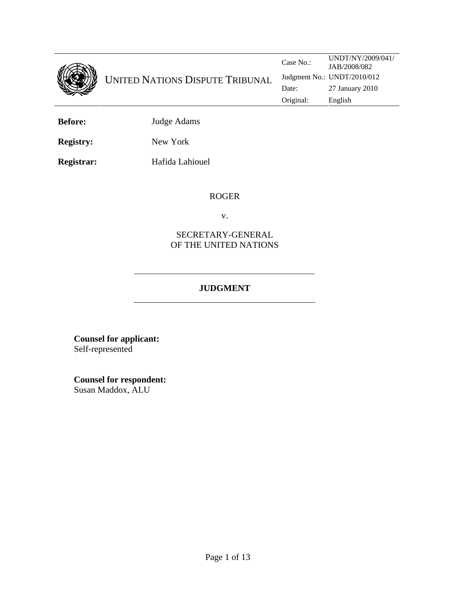

**Before:** Judge Adams

**Registry:** New York

**Registrar:** Hafida Lahiouel

#### ROGER

v.

## SECRETARY-GENERAL OF THE UNITED NATIONS

# **JUDGMENT**

**Counsel for applicant:**  Self-represented

**Counsel for respondent:** Susan Maddox, ALU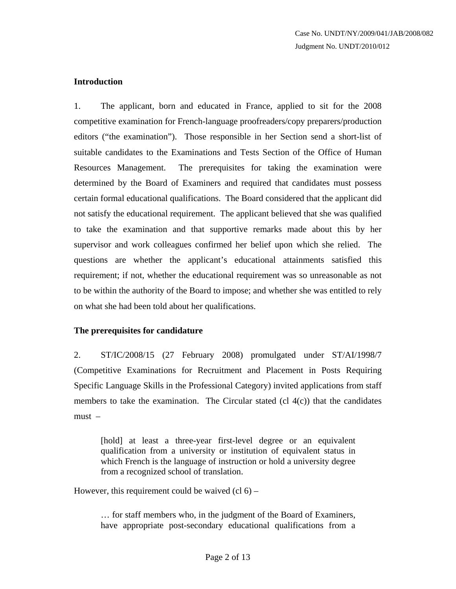## **Introduction**

1. The applicant, born and educated in France, applied to sit for the 2008 competitive examination for French-language proofreaders/copy preparers/production editors ("the examination"). Those responsible in her Section send a short-list of suitable candidates to the Examinations and Tests Section of the Office of Human Resources Management. The prerequisites for taking the examination were determined by the Board of Examiners and required that candidates must possess certain formal educational qualifications. The Board considered that the applicant did not satisfy the educational requirement. The applicant believed that she was qualified to take the examination and that supportive remarks made about this by her supervisor and work colleagues confirmed her belief upon which she relied. The questions are whether the applicant's educational attainments satisfied this requirement; if not, whether the educational requirement was so unreasonable as not to be within the authority of the Board to impose; and whether she was entitled to rely on what she had been told about her qualifications.

# **The prerequisites for candidature**

2. ST/IC/2008/15 (27 February 2008) promulgated under ST/AI/1998/7 (Competitive Examinations for Recruitment and Placement in Posts Requiring Specific Language Skills in the Professional Category) invited applications from staff members to take the examination. The Circular stated  $(cl 4(c))$  that the candidates must –

[hold] at least a three-year first-level degree or an equivalent qualification from a university or institution of equivalent status in which French is the language of instruction or hold a university degree from a recognized school of translation.

However, this requirement could be waived  $(cl 6) –$ 

… for staff members who, in the judgment of the Board of Examiners, have appropriate post-secondary educational qualifications from a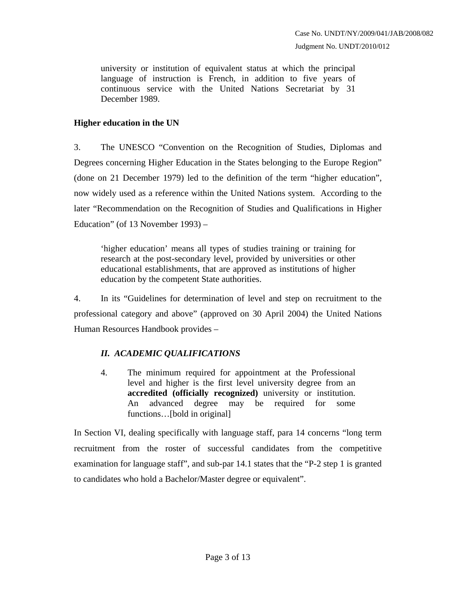university or institution of equivalent status at which the principal language of instruction is French, in addition to five years of continuous service with the United Nations Secretariat by 31 December 1989.

# **Higher education in the UN**

3. The UNESCO "Convention on the Recognition of Studies, Diplomas and Degrees concerning Higher Education in the States belonging to the Europe Region" (done on 21 December 1979) led to the definition of the term "higher education", now widely used as a reference within the United Nations system. According to the later "Recommendation on the Recognition of Studies and Qualifications in Higher Education" (of 13 November 1993) –

'higher education' means all types of studies training or training for research at the post-secondary level, provided by universities or other educational establishments, that are approved as institutions of higher education by the competent State authorities.

4. In its "Guidelines for determination of level and step on recruitment to the professional category and above" (approved on 30 April 2004) the United Nations Human Resources Handbook provides –

# *II. ACADEMIC QUALIFICATIONS*

4. The minimum required for appointment at the Professional level and higher is the first level university degree from an **accredited (officially recognized)** university or institution. An advanced degree may be required for some functions…[bold in original]

In Section VI, dealing specifically with language staff, para 14 concerns "long term recruitment from the roster of successful candidates from the competitive examination for language staff", and sub-par 14.1 states that the "P-2 step 1 is granted to candidates who hold a Bachelor/Master degree or equivalent".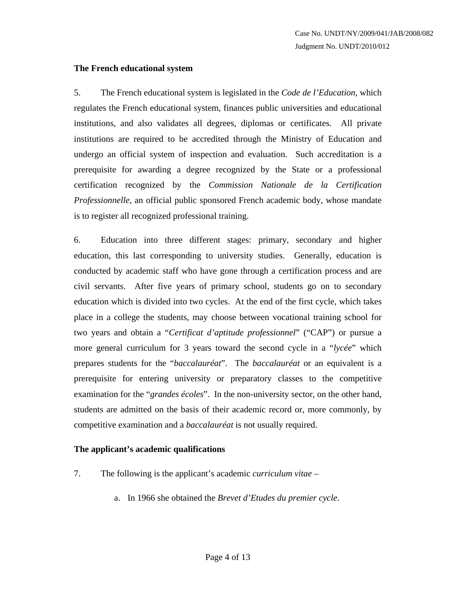#### **The French educational system**

5. The French educational system is legislated in the *Code de l'Education*, which regulates the French educational system, finances public universities and educational institutions, and also validates all degrees, diplomas or certificates. All private institutions are required to be accredited through the Ministry of Education and undergo an official system of inspection and evaluation. Such accreditation is a prerequisite for awarding a degree recognized by the State or a professional certification recognized by the *Commission Nationale de la Certification Professionnelle*, an official public sponsored French academic body, whose mandate is to register all recognized professional training.

6. Education into three different stages: primary, secondary and higher education, this last corresponding to university studies. Generally, education is conducted by academic staff who have gone through a certification process and are civil servants. After five years of primary school, students go on to secondary education which is divided into two cycles. At the end of the first cycle, which takes place in a college the students, may choose between vocational training school for two years and obtain a "*Certificat d'aptitude professionnel*" ("CAP") or pursue a more general curriculum for 3 years toward the second cycle in a "*lycée*" which prepares students for the "*baccalauréat*". The *baccalauréat* or an equivalent is a prerequisite for entering university or preparatory classes to the competitive examination for the "*grandes écoles*". In the non-university sector, on the other hand, students are admitted on the basis of their academic record or, more commonly, by competitive examination and a *baccalauréat* is not usually required.

#### **The applicant's academic qualifications**

- 7. The following is the applicant's academic *curriculum vitae*
	- a. In 1966 she obtained the *Brevet d'Etudes du premier cycle*.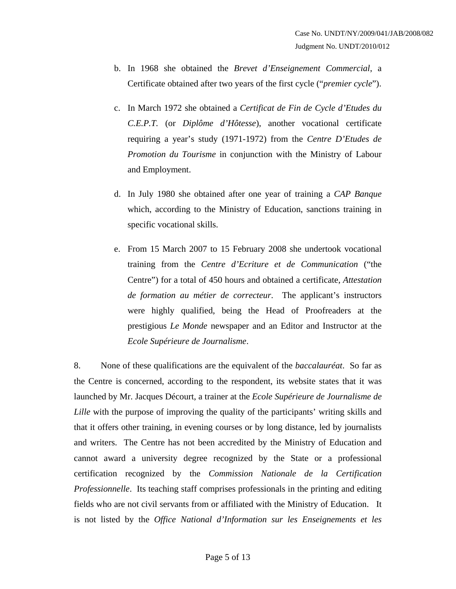- b. In 1968 she obtained the *Brevet d'Enseignement Commercial*, a Certificate obtained after two years of the first cycle ("*premier cycle*").
- c. In March 1972 she obtained a *Certificat de Fin de Cycle d'Etudes du C.E.P.T.* (or *Diplôme d'Hôtesse*), another vocational certificate requiring a year's study (1971-1972) from the *Centre D'Etudes de Promotion du Tourisme* in conjunction with the Ministry of Labour and Employment.
- d. In July 1980 she obtained after one year of training a *CAP Banque* which, according to the Ministry of Education, sanctions training in specific vocational skills.
- e. From 15 March 2007 to 15 February 2008 she undertook vocational training from the *Centre d'Ecriture et de Communication* ("the Centre") for a total of 450 hours and obtained a certificate, *Attestation de formation au métier de correcteur*. The applicant's instructors were highly qualified, being the Head of Proofreaders at the prestigious *Le Monde* newspaper and an Editor and Instructor at the *Ecole Supérieure de Journalisme*.

8. None of these qualifications are the equivalent of the *baccalauréat*. So far as the Centre is concerned, according to the respondent, its website states that it was launched by Mr. Jacques Décourt, a trainer at the *Ecole Supérieure de Journalisme de Lille* with the purpose of improving the quality of the participants' writing skills and that it offers other training, in evening courses or by long distance, led by journalists and writers. The Centre has not been accredited by the Ministry of Education and cannot award a university degree recognized by the State or a professional certification recognized by the *Commission Nationale de la Certification Professionnelle*. Its teaching staff comprises professionals in the printing and editing fields who are not civil servants from or affiliated with the Ministry of Education. It is not listed by the *Office National d'Information sur les Enseignements et les*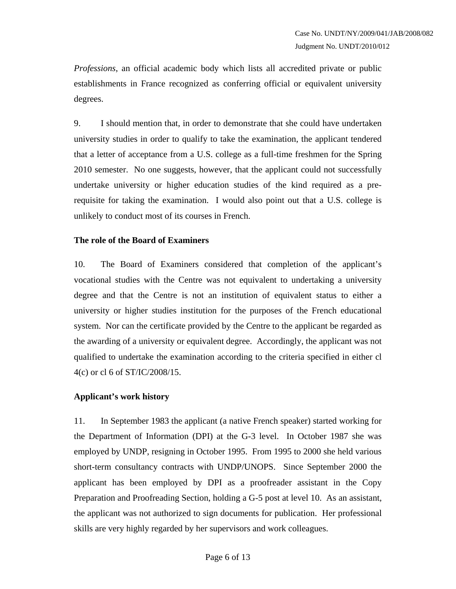*Professions*, an official academic body which lists all accredited private or public establishments in France recognized as conferring official or equivalent university degrees.

9. I should mention that, in order to demonstrate that she could have undertaken university studies in order to qualify to take the examination, the applicant tendered that a letter of acceptance from a U.S. college as a full-time freshmen for the Spring 2010 semester. No one suggests, however, that the applicant could not successfully undertake university or higher education studies of the kind required as a prerequisite for taking the examination. I would also point out that a U.S. college is unlikely to conduct most of its courses in French.

## **The role of the Board of Examiners**

10. The Board of Examiners considered that completion of the applicant's vocational studies with the Centre was not equivalent to undertaking a university degree and that the Centre is not an institution of equivalent status to either a university or higher studies institution for the purposes of the French educational system. Nor can the certificate provided by the Centre to the applicant be regarded as the awarding of a university or equivalent degree. Accordingly, the applicant was not qualified to undertake the examination according to the criteria specified in either cl 4(c) or cl 6 of ST/IC/2008/15.

#### **Applicant's work history**

11. In September 1983 the applicant (a native French speaker) started working for the Department of Information (DPI) at the G-3 level. In October 1987 she was employed by UNDP, resigning in October 1995. From 1995 to 2000 she held various short-term consultancy contracts with UNDP/UNOPS. Since September 2000 the applicant has been employed by DPI as a proofreader assistant in the Copy Preparation and Proofreading Section, holding a G-5 post at level 10. As an assistant, the applicant was not authorized to sign documents for publication. Her professional skills are very highly regarded by her supervisors and work colleagues.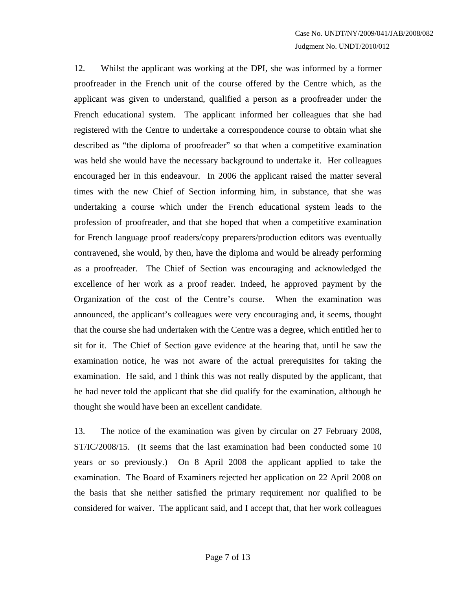12. Whilst the applicant was working at the DPI, she was informed by a former proofreader in the French unit of the course offered by the Centre which, as the applicant was given to understand, qualified a person as a proofreader under the French educational system. The applicant informed her colleagues that she had registered with the Centre to undertake a correspondence course to obtain what she described as "the diploma of proofreader" so that when a competitive examination was held she would have the necessary background to undertake it. Her colleagues encouraged her in this endeavour. In 2006 the applicant raised the matter several times with the new Chief of Section informing him, in substance, that she was undertaking a course which under the French educational system leads to the profession of proofreader, and that she hoped that when a competitive examination for French language proof readers/copy preparers/production editors was eventually contravened, she would, by then, have the diploma and would be already performing as a proofreader. The Chief of Section was encouraging and acknowledged the excellence of her work as a proof reader. Indeed, he approved payment by the Organization of the cost of the Centre's course. When the examination was announced, the applicant's colleagues were very encouraging and, it seems, thought that the course she had undertaken with the Centre was a degree, which entitled her to sit for it. The Chief of Section gave evidence at the hearing that, until he saw the examination notice, he was not aware of the actual prerequisites for taking the examination. He said, and I think this was not really disputed by the applicant, that he had never told the applicant that she did qualify for the examination, although he thought she would have been an excellent candidate.

13. The notice of the examination was given by circular on 27 February 2008, ST/IC/2008/15. (It seems that the last examination had been conducted some 10 years or so previously.) On 8 April 2008 the applicant applied to take the examination. The Board of Examiners rejected her application on 22 April 2008 on the basis that she neither satisfied the primary requirement nor qualified to be considered for waiver. The applicant said, and I accept that, that her work colleagues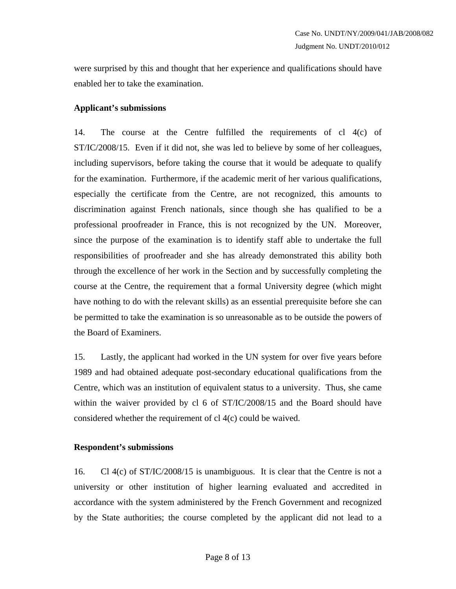were surprised by this and thought that her experience and qualifications should have enabled her to take the examination.

## **Applicant's submissions**

14. The course at the Centre fulfilled the requirements of cl 4(c) of ST/IC/2008/15. Even if it did not, she was led to believe by some of her colleagues, including supervisors, before taking the course that it would be adequate to qualify for the examination. Furthermore, if the academic merit of her various qualifications, especially the certificate from the Centre, are not recognized, this amounts to discrimination against French nationals, since though she has qualified to be a professional proofreader in France, this is not recognized by the UN. Moreover, since the purpose of the examination is to identify staff able to undertake the full responsibilities of proofreader and she has already demonstrated this ability both through the excellence of her work in the Section and by successfully completing the course at the Centre, the requirement that a formal University degree (which might have nothing to do with the relevant skills) as an essential prerequisite before she can be permitted to take the examination is so unreasonable as to be outside the powers of the Board of Examiners.

15. Lastly, the applicant had worked in the UN system for over five years before 1989 and had obtained adequate post-secondary educational qualifications from the Centre, which was an institution of equivalent status to a university. Thus, she came within the waiver provided by cl 6 of ST/IC/2008/15 and the Board should have considered whether the requirement of cl 4(c) could be waived.

#### **Respondent's submissions**

16. Cl 4(c) of ST/IC/2008/15 is unambiguous. It is clear that the Centre is not a university or other institution of higher learning evaluated and accredited in accordance with the system administered by the French Government and recognized by the State authorities; the course completed by the applicant did not lead to a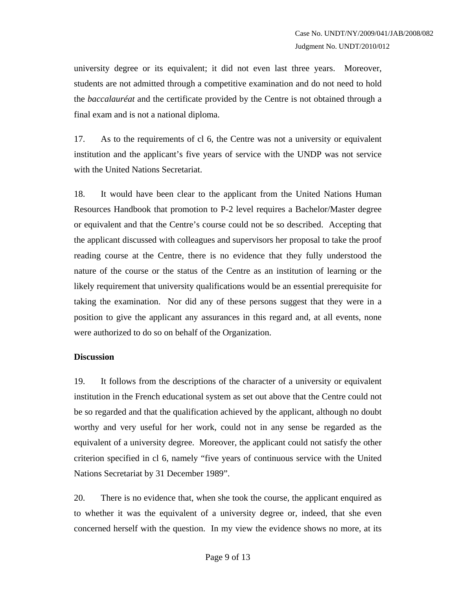university degree or its equivalent; it did not even last three years. Moreover, students are not admitted through a competitive examination and do not need to hold the *baccalauréat* and the certificate provided by the Centre is not obtained through a final exam and is not a national diploma.

17. As to the requirements of cl 6, the Centre was not a university or equivalent institution and the applicant's five years of service with the UNDP was not service with the United Nations Secretariat.

18. It would have been clear to the applicant from the United Nations Human Resources Handbook that promotion to P-2 level requires a Bachelor/Master degree or equivalent and that the Centre's course could not be so described. Accepting that the applicant discussed with colleagues and supervisors her proposal to take the proof reading course at the Centre, there is no evidence that they fully understood the nature of the course or the status of the Centre as an institution of learning or the likely requirement that university qualifications would be an essential prerequisite for taking the examination. Nor did any of these persons suggest that they were in a position to give the applicant any assurances in this regard and, at all events, none were authorized to do so on behalf of the Organization.

#### **Discussion**

19. It follows from the descriptions of the character of a university or equivalent institution in the French educational system as set out above that the Centre could not be so regarded and that the qualification achieved by the applicant, although no doubt worthy and very useful for her work, could not in any sense be regarded as the equivalent of a university degree. Moreover, the applicant could not satisfy the other criterion specified in cl 6, namely "five years of continuous service with the United Nations Secretariat by 31 December 1989".

20. There is no evidence that, when she took the course, the applicant enquired as to whether it was the equivalent of a university degree or, indeed, that she even concerned herself with the question. In my view the evidence shows no more, at its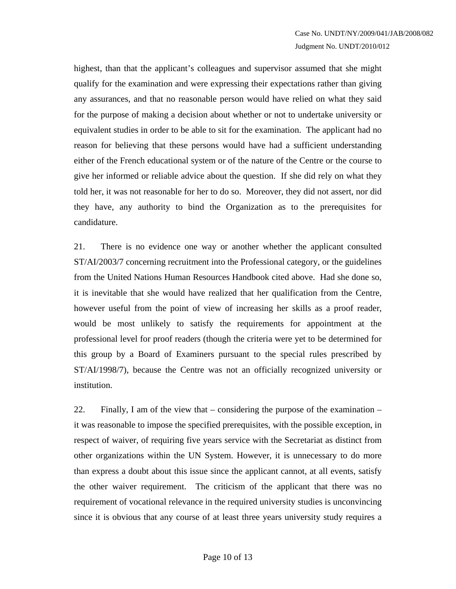highest, than that the applicant's colleagues and supervisor assumed that she might qualify for the examination and were expressing their expectations rather than giving any assurances, and that no reasonable person would have relied on what they said for the purpose of making a decision about whether or not to undertake university or equivalent studies in order to be able to sit for the examination. The applicant had no reason for believing that these persons would have had a sufficient understanding either of the French educational system or of the nature of the Centre or the course to give her informed or reliable advice about the question. If she did rely on what they told her, it was not reasonable for her to do so. Moreover, they did not assert, nor did they have, any authority to bind the Organization as to the prerequisites for candidature.

21. There is no evidence one way or another whether the applicant consulted ST/AI/2003/7 concerning recruitment into the Professional category, or the guidelines from the United Nations Human Resources Handbook cited above. Had she done so, it is inevitable that she would have realized that her qualification from the Centre, however useful from the point of view of increasing her skills as a proof reader, would be most unlikely to satisfy the requirements for appointment at the professional level for proof readers (though the criteria were yet to be determined for this group by a Board of Examiners pursuant to the special rules prescribed by ST/AI/1998/7), because the Centre was not an officially recognized university or institution.

22. Finally, I am of the view that – considering the purpose of the examination – it was reasonable to impose the specified prerequisites, with the possible exception, in respect of waiver, of requiring five years service with the Secretariat as distinct from other organizations within the UN System. However, it is unnecessary to do more than express a doubt about this issue since the applicant cannot, at all events, satisfy the other waiver requirement. The criticism of the applicant that there was no requirement of vocational relevance in the required university studies is unconvincing since it is obvious that any course of at least three years university study requires a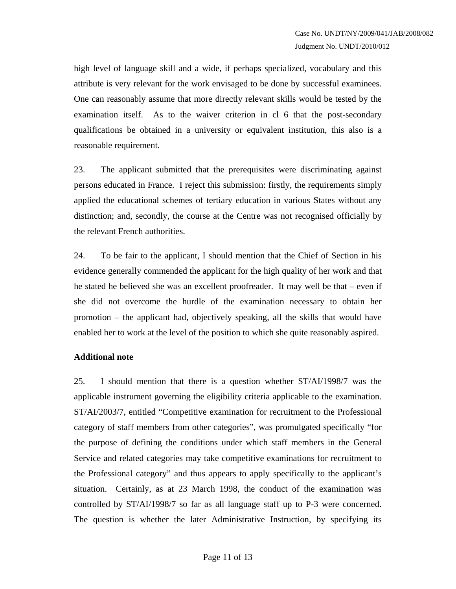high level of language skill and a wide, if perhaps specialized, vocabulary and this attribute is very relevant for the work envisaged to be done by successful examinees. One can reasonably assume that more directly relevant skills would be tested by the examination itself. As to the waiver criterion in cl 6 that the post-secondary qualifications be obtained in a university or equivalent institution, this also is a reasonable requirement.

23. The applicant submitted that the prerequisites were discriminating against persons educated in France. I reject this submission: firstly, the requirements simply applied the educational schemes of tertiary education in various States without any distinction; and, secondly, the course at the Centre was not recognised officially by the relevant French authorities.

24. To be fair to the applicant, I should mention that the Chief of Section in his evidence generally commended the applicant for the high quality of her work and that he stated he believed she was an excellent proofreader. It may well be that – even if she did not overcome the hurdle of the examination necessary to obtain her promotion – the applicant had, objectively speaking, all the skills that would have enabled her to work at the level of the position to which she quite reasonably aspired.

#### **Additional note**

25. I should mention that there is a question whether ST/AI/1998/7 was the applicable instrument governing the eligibility criteria applicable to the examination. ST/AI/2003/7, entitled "Competitive examination for recruitment to the Professional category of staff members from other categories", was promulgated specifically "for the purpose of defining the conditions under which staff members in the General Service and related categories may take competitive examinations for recruitment to the Professional category" and thus appears to apply specifically to the applicant's situation. Certainly, as at 23 March 1998, the conduct of the examination was controlled by ST/AI/1998/7 so far as all language staff up to P-3 were concerned. The question is whether the later Administrative Instruction, by specifying its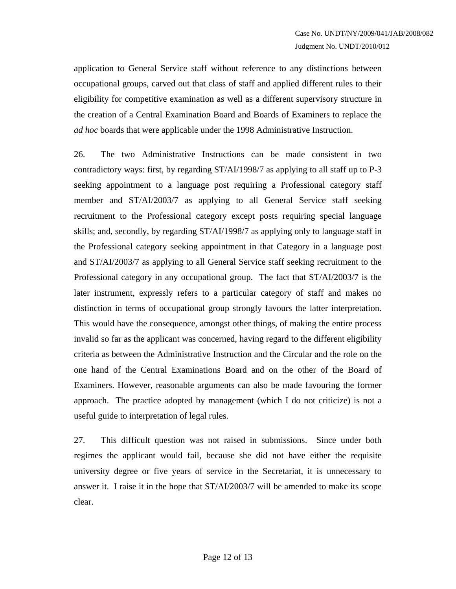application to General Service staff without reference to any distinctions between occupational groups, carved out that class of staff and applied different rules to their eligibility for competitive examination as well as a different supervisory structure in the creation of a Central Examination Board and Boards of Examiners to replace the *ad hoc* boards that were applicable under the 1998 Administrative Instruction.

26. The two Administrative Instructions can be made consistent in two contradictory ways: first, by regarding ST/AI/1998/7 as applying to all staff up to P-3 seeking appointment to a language post requiring a Professional category staff member and ST/AI/2003/7 as applying to all General Service staff seeking recruitment to the Professional category except posts requiring special language skills; and, secondly, by regarding ST/AI/1998/7 as applying only to language staff in the Professional category seeking appointment in that Category in a language post and ST/AI/2003/7 as applying to all General Service staff seeking recruitment to the Professional category in any occupational group. The fact that ST/AI/2003/7 is the later instrument, expressly refers to a particular category of staff and makes no distinction in terms of occupational group strongly favours the latter interpretation. This would have the consequence, amongst other things, of making the entire process invalid so far as the applicant was concerned, having regard to the different eligibility criteria as between the Administrative Instruction and the Circular and the role on the one hand of the Central Examinations Board and on the other of the Board of Examiners. However, reasonable arguments can also be made favouring the former approach. The practice adopted by management (which I do not criticize) is not a useful guide to interpretation of legal rules.

27. This difficult question was not raised in submissions. Since under both regimes the applicant would fail, because she did not have either the requisite university degree or five years of service in the Secretariat, it is unnecessary to answer it. I raise it in the hope that ST/AI/2003/7 will be amended to make its scope clear.